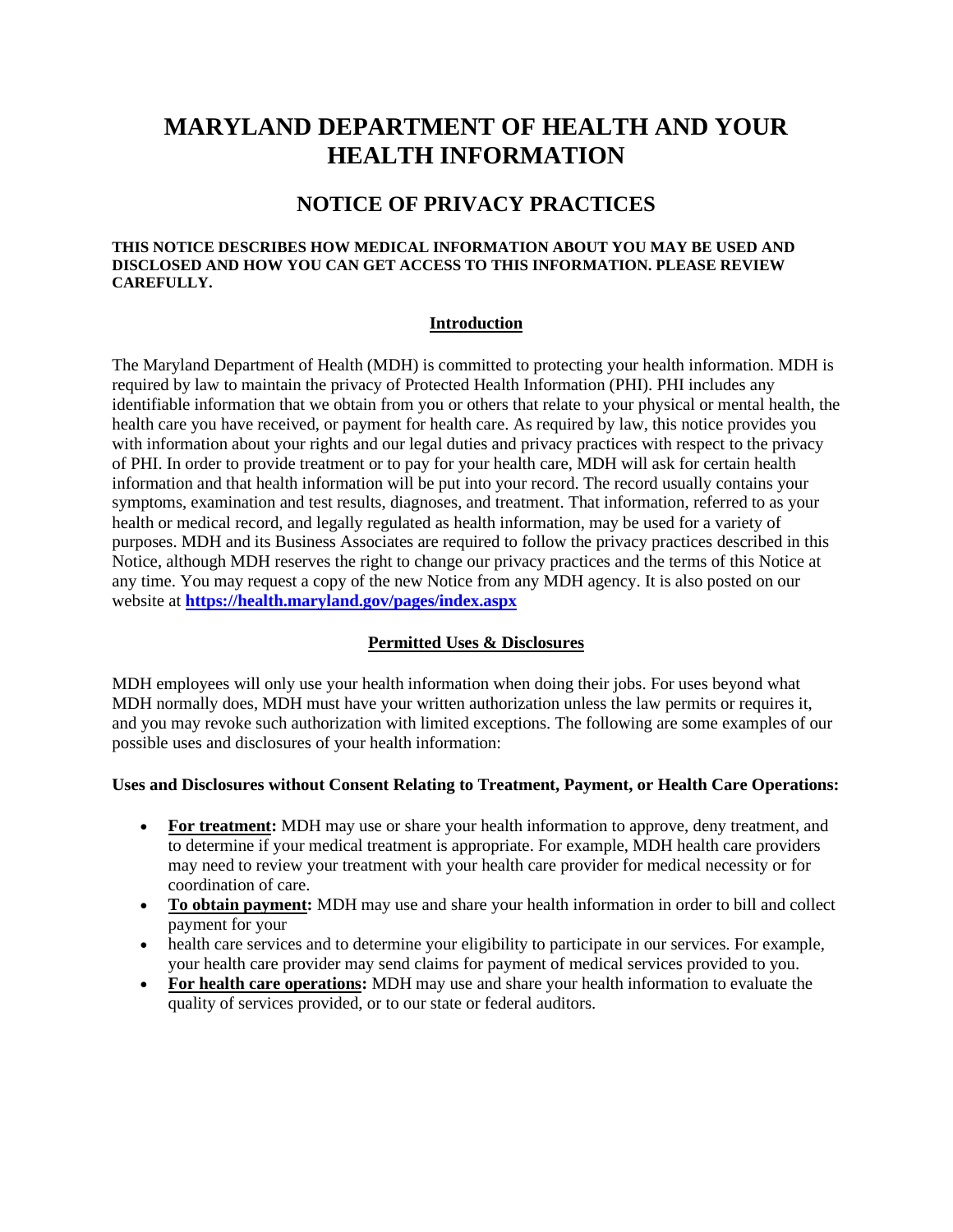# **MARYLAND DEPARTMENT OF HEALTH AND YOUR HEALTH INFORMATION**

## **NOTICE OF PRIVACY PRACTICES**

#### **THIS NOTICE DESCRIBES HOW MEDICAL INFORMATION ABOUT YOU MAY BE USED AND DISCLOSED AND HOW YOU CAN GET ACCESS TO THIS INFORMATION. PLEASE REVIEW CAREFULLY.**

### **Introduction**

The Maryland Department of Health (MDH) is committed to protecting your health information. MDH is required by law to maintain the privacy of Protected Health Information (PHI). PHI includes any identifiable information that we obtain from you or others that relate to your physical or mental health, the health care you have received, or payment for health care. As required by law, this notice provides you with information about your rights and our legal duties and privacy practices with respect to the privacy of PHI. In order to provide treatment or to pay for your health care, MDH will ask for certain health information and that health information will be put into your record. The record usually contains your symptoms, examination and test results, diagnoses, and treatment. That information, referred to as your health or medical record, and legally regulated as health information, may be used for a variety of purposes. MDH and its Business Associates are required to follow the privacy practices described in this Notice, although MDH reserves the right to change our privacy practices and the terms of this Notice at any time. You may request a copy of the new Notice from any MDH agency. It is also posted on our website at **[https://health.maryland.gov/pages/index.aspx](https://health.maryland.gov/Pages/index_old.aspx)**

### **Permitted Uses & Disclosures**

MDH employees will only use your health information when doing their jobs. For uses beyond what MDH normally does, MDH must have your written authorization unless the law permits or requires it, and you may revoke such authorization with limited exceptions. The following are some examples of our possible uses and disclosures of your health information:

#### **Uses and Disclosures without Consent Relating to Treatment, Payment, or Health Care Operations:**

- For treatment: MDH may use or share your health information to approve, deny treatment, and to determine if your medical treatment is appropriate. For example, MDH health care providers may need to review your treatment with your health care provider for medical necessity or for coordination of care.
- **To obtain payment:** MDH may use and share your health information in order to bill and collect payment for your
- health care services and to determine your eligibility to participate in our services. For example, your health care provider may send claims for payment of medical services provided to you.
- **For health care operations:** MDH may use and share your health information to evaluate the quality of services provided, or to our state or federal auditors.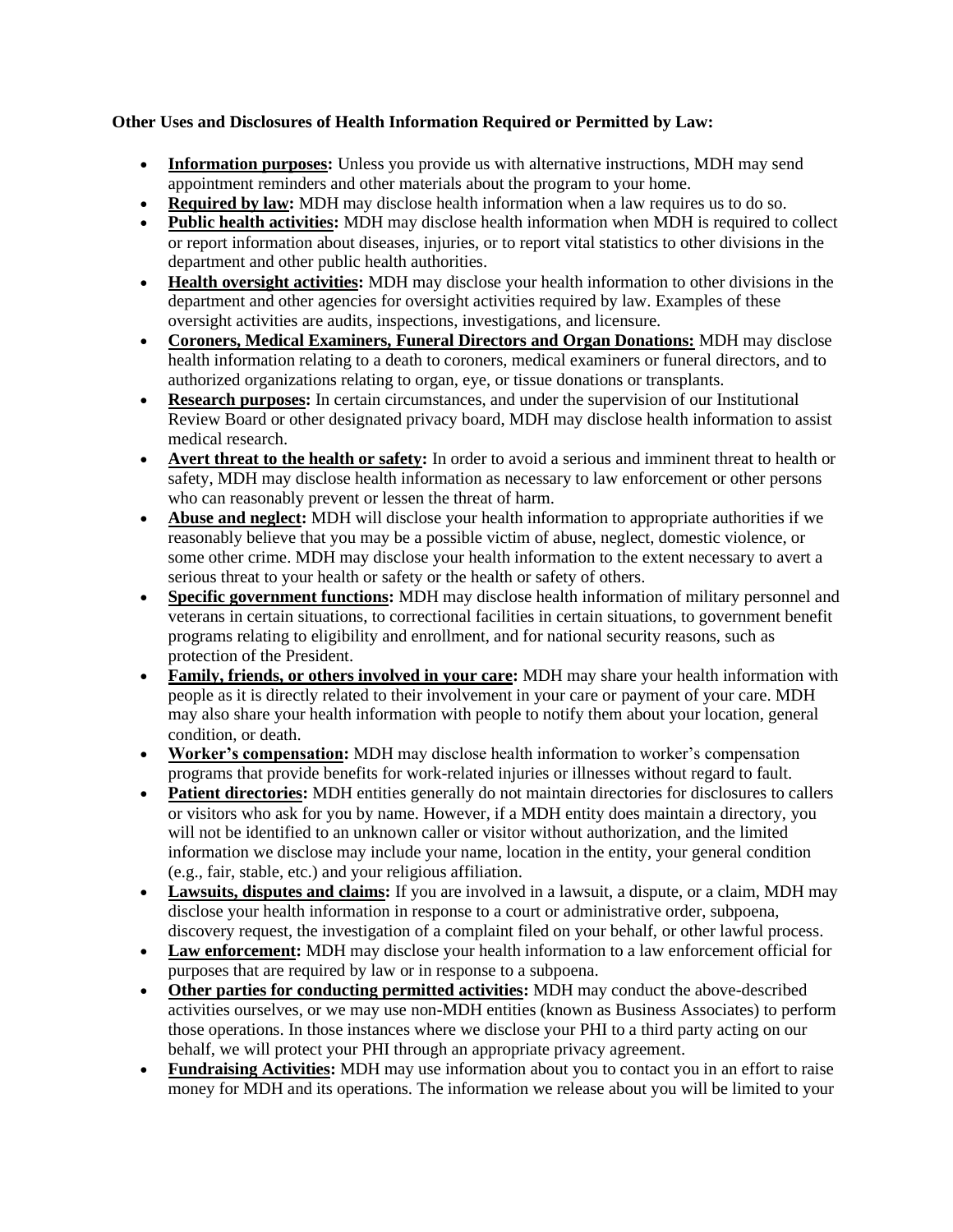## **Other Uses and Disclosures of Health Information Required or Permitted by Law:**

- **Information purposes:** Unless you provide us with alternative instructions, MDH may send appointment reminders and other materials about the program to your home.
- **Required by law:** MDH may disclose health information when a law requires us to do so.
- **Public health activities:** MDH may disclose health information when MDH is required to collect or report information about diseases, injuries, or to report vital statistics to other divisions in the department and other public health authorities.
- **Health oversight activities:** MDH may disclose your health information to other divisions in the department and other agencies for oversight activities required by law. Examples of these oversight activities are audits, inspections, investigations, and licensure.
- **Coroners, Medical Examiners, Funeral Directors and Organ Donations:** MDH may disclose health information relating to a death to coroners, medical examiners or funeral directors, and to authorized organizations relating to organ, eye, or tissue donations or transplants.
- **Research purposes:** In certain circumstances, and under the supervision of our Institutional Review Board or other designated privacy board, MDH may disclose health information to assist medical research.
- **Avert threat to the health or safety:** In order to avoid a serious and imminent threat to health or safety, MDH may disclose health information as necessary to law enforcement or other persons who can reasonably prevent or lessen the threat of harm.
- **Abuse and neglect:** MDH will disclose your health information to appropriate authorities if we reasonably believe that you may be a possible victim of abuse, neglect, domestic violence, or some other crime. MDH may disclose your health information to the extent necessary to avert a serious threat to your health or safety or the health or safety of others.
- **Specific government functions:** MDH may disclose health information of military personnel and veterans in certain situations, to correctional facilities in certain situations, to government benefit programs relating to eligibility and enrollment, and for national security reasons, such as protection of the President.
- **Family, friends, or others involved in your care:** MDH may share your health information with people as it is directly related to their involvement in your care or payment of your care. MDH may also share your health information with people to notify them about your location, general condition, or death.
- **Worker's compensation:** MDH may disclose health information to worker's compensation programs that provide benefits for work-related injuries or illnesses without regard to fault.
- **Patient directories:** MDH entities generally do not maintain directories for disclosures to callers or visitors who ask for you by name. However, if a MDH entity does maintain a directory, you will not be identified to an unknown caller or visitor without authorization, and the limited information we disclose may include your name, location in the entity, your general condition (e.g., fair, stable, etc.) and your religious affiliation.
- **Lawsuits, disputes and claims:** If you are involved in a lawsuit, a dispute, or a claim, MDH may disclose your health information in response to a court or administrative order, subpoena, discovery request, the investigation of a complaint filed on your behalf, or other lawful process.
- **Law enforcement:** MDH may disclose your health information to a law enforcement official for purposes that are required by law or in response to a subpoena.
- **Other parties for conducting permitted activities:** MDH may conduct the above-described activities ourselves, or we may use non-MDH entities (known as Business Associates) to perform those operations. In those instances where we disclose your PHI to a third party acting on our behalf, we will protect your PHI through an appropriate privacy agreement.
- **Fundraising Activities:** MDH may use information about you to contact you in an effort to raise money for MDH and its operations. The information we release about you will be limited to your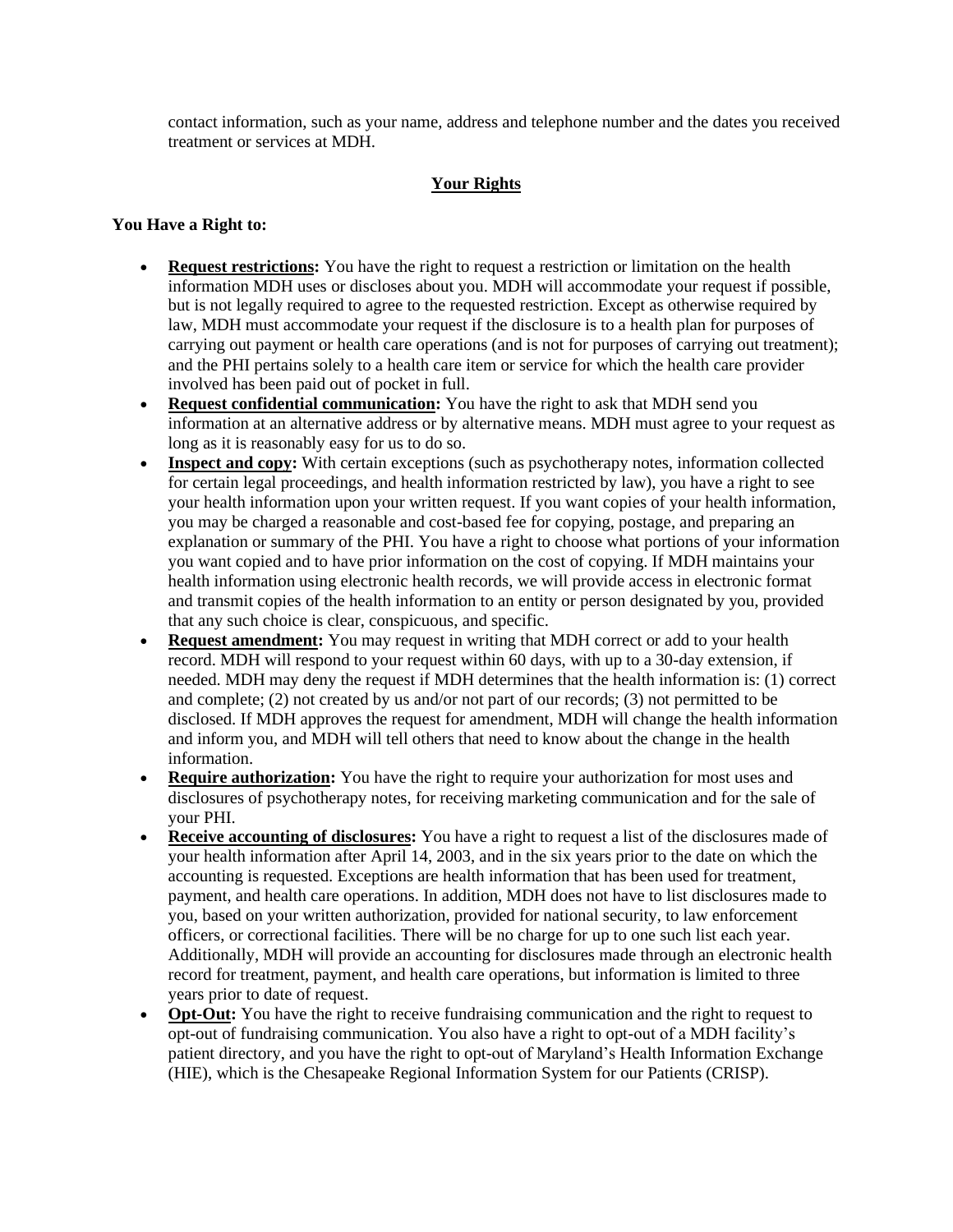contact information, such as your name, address and telephone number and the dates you received treatment or services at MDH.

## **Your Rights**

### **You Have a Right to:**

- **Request restrictions:** You have the right to request a restriction or limitation on the health information MDH uses or discloses about you. MDH will accommodate your request if possible, but is not legally required to agree to the requested restriction. Except as otherwise required by law, MDH must accommodate your request if the disclosure is to a health plan for purposes of carrying out payment or health care operations (and is not for purposes of carrying out treatment); and the PHI pertains solely to a health care item or service for which the health care provider involved has been paid out of pocket in full.
- **Request confidential communication:** You have the right to ask that MDH send you information at an alternative address or by alternative means. MDH must agree to your request as long as it is reasonably easy for us to do so.
- **Inspect and copy:** With certain exceptions (such as psychotherapy notes, information collected for certain legal proceedings, and health information restricted by law), you have a right to see your health information upon your written request. If you want copies of your health information, you may be charged a reasonable and cost-based fee for copying, postage, and preparing an explanation or summary of the PHI. You have a right to choose what portions of your information you want copied and to have prior information on the cost of copying. If MDH maintains your health information using electronic health records, we will provide access in electronic format and transmit copies of the health information to an entity or person designated by you, provided that any such choice is clear, conspicuous, and specific.
- **Request amendment:** You may request in writing that MDH correct or add to your health record. MDH will respond to your request within 60 days, with up to a 30-day extension, if needed. MDH may deny the request if MDH determines that the health information is: (1) correct and complete; (2) not created by us and/or not part of our records; (3) not permitted to be disclosed. If MDH approves the request for amendment, MDH will change the health information and inform you, and MDH will tell others that need to know about the change in the health information.
- **Require authorization:** You have the right to require your authorization for most uses and disclosures of psychotherapy notes, for receiving marketing communication and for the sale of your PHI.
- **Receive accounting of disclosures:** You have a right to request a list of the disclosures made of your health information after April 14, 2003, and in the six years prior to the date on which the accounting is requested. Exceptions are health information that has been used for treatment, payment, and health care operations. In addition, MDH does not have to list disclosures made to you, based on your written authorization, provided for national security, to law enforcement officers, or correctional facilities. There will be no charge for up to one such list each year. Additionally, MDH will provide an accounting for disclosures made through an electronic health record for treatment, payment, and health care operations, but information is limited to three years prior to date of request.
- **Opt-Out:** You have the right to receive fundraising communication and the right to request to opt-out of fundraising communication. You also have a right to opt-out of a MDH facility's patient directory, and you have the right to opt-out of Maryland's Health Information Exchange (HIE), which is the Chesapeake Regional Information System for our Patients (CRISP).